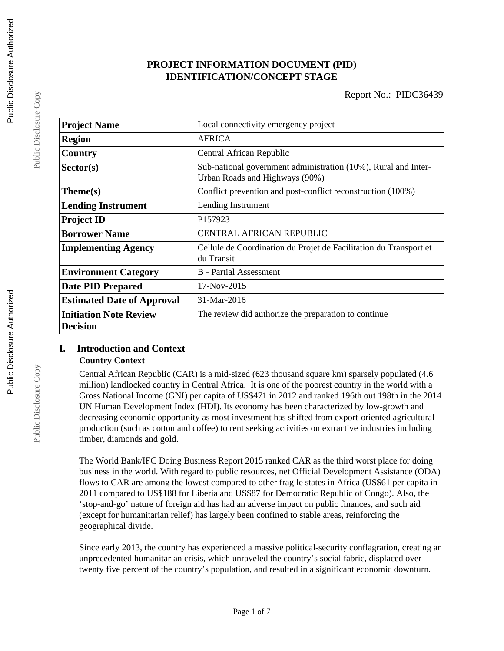# **PROJECT INFORMATION DOCUMENT (PID) IDENTIFICATION/CONCEPT STAGE**

| <b>Project Name</b>                              | Local connectivity emergency project                                                             |  |  |
|--------------------------------------------------|--------------------------------------------------------------------------------------------------|--|--|
| <b>Region</b>                                    | <b>AFRICA</b>                                                                                    |  |  |
| Country                                          | Central African Republic                                                                         |  |  |
| Sector(s)                                        | Sub-national government administration (10%), Rural and Inter-<br>Urban Roads and Highways (90%) |  |  |
| Theme(s)                                         | Conflict prevention and post-conflict reconstruction (100%)                                      |  |  |
| <b>Lending Instrument</b>                        | Lending Instrument                                                                               |  |  |
| <b>Project ID</b>                                | P157923                                                                                          |  |  |
| <b>Borrower Name</b>                             | <b>CENTRAL AFRICAN REPUBLIC</b>                                                                  |  |  |
| <b>Implementing Agency</b>                       | Cellule de Coordination du Projet de Facilitation du Transport et<br>du Transit                  |  |  |
| <b>Environment Category</b>                      | B - Partial Assessment                                                                           |  |  |
| <b>Date PID Prepared</b>                         | 17-Nov-2015                                                                                      |  |  |
| <b>Estimated Date of Approval</b>                | 31-Mar-2016                                                                                      |  |  |
| <b>Initiation Note Review</b><br><b>Decision</b> | The review did authorize the preparation to continue                                             |  |  |

# **I. Introduction and Context Country Context**

Central African Republic (CAR) is a mid-sized (623 thousand square km) sparsely populated (4.6 million) landlocked country in Central Africa. It is one of the poorest country in the world with a Gross National Income (GNI) per capita of US\$471 in 2012 and ranked 196th out 198th in the 2014 UN Human Development Index (HDI). Its economy has been characterized by low-growth and decreasing economic opportunity as most investment has shifted from export-oriented agricultural production (such as cotton and coffee) to rent seeking activities on extractive industries including timber, diamonds and gold.

The World Bank/IFC Doing Business Report 2015 ranked CAR as the third worst place for doing business in the world. With regard to public resources, net Official Development Assistance (ODA) flows to CAR are among the lowest compared to other fragile states in Africa (US\$61 per capita in 2011 compared to US\$188 for Liberia and US\$87 for Democratic Republic of Congo). Also, the 'stop-and-go' nature of foreign aid has had an adverse impact on public finances, and such aid (except for humanitarian relief) has largely been confined to stable areas, reinforcing the geographical divide.

Since early 2013, the country has experienced a massive political-security conflagration, creating an unprecedented humanitarian crisis, which unraveled the country's social fabric, displaced over twenty five percent of the country's population, and resulted in a significant economic downturn.

Public Disclosure Copy

Public Disclosure Copy

Public Disclosure Copy

Public Disclosure Copy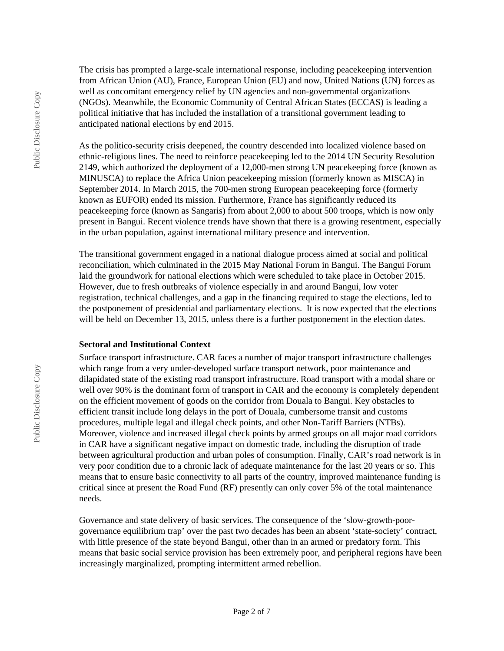The crisis has prompted a large-scale international response, including peacekeeping intervention from African Union (AU), France, European Union (EU) and now, United Nations (UN) forces as well as concomitant emergency relief by UN agencies and non-governmental organizations (NGOs). Meanwhile, the Economic Community of Central African States (ECCAS) is leading a political initiative that has included the installation of a transitional government leading to anticipated national elections by end 2015.

As the politico-security crisis deepened, the country descended into localized violence based on ethnic-religious lines. The need to reinforce peacekeeping led to the 2014 UN Security Resolution 2149, which authorized the deployment of a 12,000-men strong UN peacekeeping force (known as MINUSCA) to replace the Africa Union peacekeeping mission (formerly known as MISCA) in September 2014. In March 2015, the 700-men strong European peacekeeping force (formerly known as EUFOR) ended its mission. Furthermore, France has significantly reduced its peacekeeping force (known as Sangaris) from about 2,000 to about 500 troops, which is now only present in Bangui. Recent violence trends have shown that there is a growing resentment, especially in the urban population, against international military presence and intervention.

The transitional government engaged in a national dialogue process aimed at social and political reconciliation, which culminated in the 2015 May National Forum in Bangui. The Bangui Forum laid the groundwork for national elections which were scheduled to take place in October 2015. However, due to fresh outbreaks of violence especially in and around Bangui, low voter registration, technical challenges, and a gap in the financing required to stage the elections, led to the postponement of presidential and parliamentary elections. It is now expected that the elections will be held on December 13, 2015, unless there is a further postponement in the election dates.

## **Sectoral and Institutional Context**

Surface transport infrastructure. CAR faces a number of major transport infrastructure challenges which range from a very under-developed surface transport network, poor maintenance and dilapidated state of the existing road transport infrastructure. Road transport with a modal share or well over 90% is the dominant form of transport in CAR and the economy is completely dependent on the efficient movement of goods on the corridor from Douala to Bangui. Key obstacles to efficient transit include long delays in the port of Douala, cumbersome transit and customs procedures, multiple legal and illegal check points, and other Non-Tariff Barriers (NTBs). Moreover, violence and increased illegal check points by armed groups on all major road corridors in CAR have a significant negative impact on domestic trade, including the disruption of trade between agricultural production and urban poles of consumption. Finally, CAR's road network is in very poor condition due to a chronic lack of adequate maintenance for the last 20 years or so. This means that to ensure basic connectivity to all parts of the country, improved maintenance funding is critical since at present the Road Fund (RF) presently can only cover 5% of the total maintenance needs.

Governance and state delivery of basic services. The consequence of the 'slow-growth-poorgovernance equilibrium trap' over the past two decades has been an absent 'state-society' contract, with little presence of the state beyond Bangui, other than in an armed or predatory form. This means that basic social service provision has been extremely poor, and peripheral regions have been increasingly marginalized, prompting intermittent armed rebellion.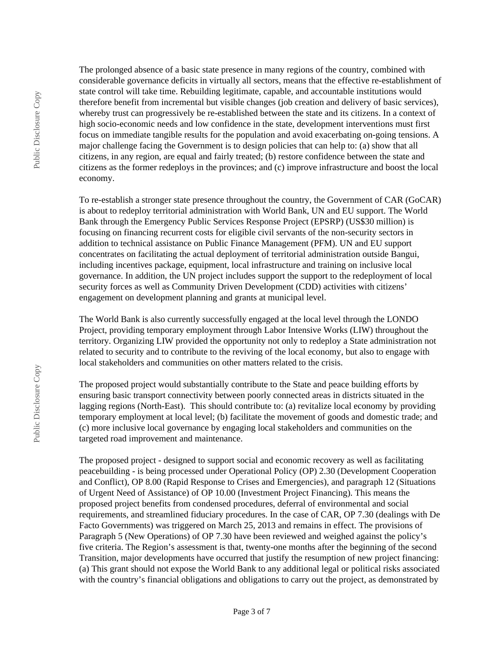The prolonged absence of a basic state presence in many regions of the country, combined with considerable governance deficits in virtually all sectors, means that the effective re-establishment of state control will take time. Rebuilding legitimate, capable, and accountable institutions would therefore benefit from incremental but visible changes (job creation and delivery of basic services), whereby trust can progressively be re-established between the state and its citizens. In a context of high socio-economic needs and low confidence in the state, development interventions must first focus on immediate tangible results for the population and avoid exacerbating on-going tensions. A major challenge facing the Government is to design policies that can help to: (a) show that all citizens, in any region, are equal and fairly treated; (b) restore confidence between the state and citizens as the former redeploys in the provinces; and (c) improve infrastructure and boost the local economy.

To re-establish a stronger state presence throughout the country, the Government of CAR (GoCAR) is about to redeploy territorial administration with World Bank, UN and EU support. The World Bank through the Emergency Public Services Response Project (EPSRP) (US\$30 million) is focusing on financing recurrent costs for eligible civil servants of the non-security sectors in addition to technical assistance on Public Finance Management (PFM). UN and EU support concentrates on facilitating the actual deployment of territorial administration outside Bangui, including incentives package, equipment, local infrastructure and training on inclusive local governance. In addition, the UN project includes support the support to the redeployment of local security forces as well as Community Driven Development (CDD) activities with citizens' engagement on development planning and grants at municipal level.

The World Bank is also currently successfully engaged at the local level through the LONDO Project, providing temporary employment through Labor Intensive Works (LIW) throughout the territory. Organizing LIW provided the opportunity not only to redeploy a State administration not related to security and to contribute to the reviving of the local economy, but also to engage with local stakeholders and communities on other matters related to the crisis.

The proposed project would substantially contribute to the State and peace building efforts by ensuring basic transport connectivity between poorly connected areas in districts situated in the lagging regions (North-East). This should contribute to: (a) revitalize local economy by providing temporary employment at local level; (b) facilitate the movement of goods and domestic trade; and (c) more inclusive local governance by engaging local stakeholders and communities on the targeted road improvement and maintenance.

The proposed project - designed to support social and economic recovery as well as facilitating peacebuilding - is being processed under Operational Policy (OP) 2.30 (Development Cooperation and Conflict), OP 8.00 (Rapid Response to Crises and Emergencies), and paragraph 12 (Situations of Urgent Need of Assistance) of OP 10.00 (Investment Project Financing). This means the proposed project benefits from condensed procedures, deferral of environmental and social requirements, and streamlined fiduciary procedures. In the case of CAR, OP 7.30 (dealings with De Facto Governments) was triggered on March 25, 2013 and remains in effect. The provisions of Paragraph 5 (New Operations) of OP 7.30 have been reviewed and weighed against the policy's five criteria. The Region's assessment is that, twenty-one months after the beginning of the second Transition, major developments have occurred that justify the resumption of new project financing: (a) This grant should not expose the World Bank to any additional legal or political risks associated with the country's financial obligations and obligations to carry out the project, as demonstrated by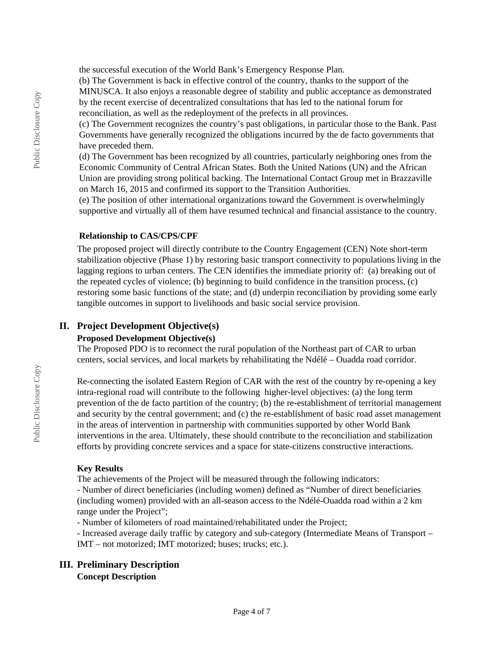the successful execution of the World Bank's Emergency Response Plan.

(b) The Government is back in effective control of the country, thanks to the support of the MINUSCA. It also enjoys a reasonable degree of stability and public acceptance as demonstrated by the recent exercise of decentralized consultations that has led to the national forum for reconciliation, as well as the redeployment of the prefects in all provinces.

(c) The Government recognizes the country's past obligations, in particular those to the Bank. Past Governments have generally recognized the obligations incurred by the de facto governments that have preceded them.

(d) The Government has been recognized by all countries, particularly neighboring ones from the Economic Community of Central African States. Both the United Nations (UN) and the African Union are providing strong political backing. The International Contact Group met in Brazzaville on March 16, 2015 and confirmed its support to the Transition Authorities.

(e) The position of other international organizations toward the Government is overwhelmingly supportive and virtually all of them have resumed technical and financial assistance to the country.

#### **Relationship to CAS/CPS/CPF**

The proposed project will directly contribute to the Country Engagement (CEN) Note short-term stabilization objective (Phase 1) by restoring basic transport connectivity to populations living in the lagging regions to urban centers. The CEN identifies the immediate priority of: (a) breaking out of the repeated cycles of violence; (b) beginning to build confidence in the transition process, (c) restoring some basic functions of the state; and (d) underpin reconciliation by providing some early tangible outcomes in support to livelihoods and basic social service provision.

## **II. Project Development Objective(s)**

## **Proposed Development Objective(s)**

The Proposed PDO is to reconnect the rural population of the Northeast part of CAR to urban centers, social services, and local markets by rehabilitating the Ndélé – Ouadda road corridor.

Re-connecting the isolated Eastern Region of CAR with the rest of the country by re-opening a key intra-regional road will contribute to the following higher-level objectives: (a) the long term prevention of the de facto partition of the country; (b) the re-establishment of territorial management and security by the central government; and (c) the re-establishment of basic road asset management in the areas of intervention in partnership with communities supported by other World Bank interventions in the area. Ultimately, these should contribute to the reconciliation and stabilization efforts by providing concrete services and a space for state-citizens constructive interactions.

## **Key Results**

The achievements of the Project will be measured through the following indicators:

- Number of direct beneficiaries (including women) defined as "Number of direct beneficiaries (including women) provided with an all-season access to the Ndélé-Ouadda road within a 2 km range under the Project";

- Number of kilometers of road maintained/rehabilitated under the Project;

- Increased average daily traffic by category and sub-category (Intermediate Means of Transport – IMT – not motorized; IMT motorized; buses; trucks; etc.).

# **III. Preliminary Description**

**Concept Description**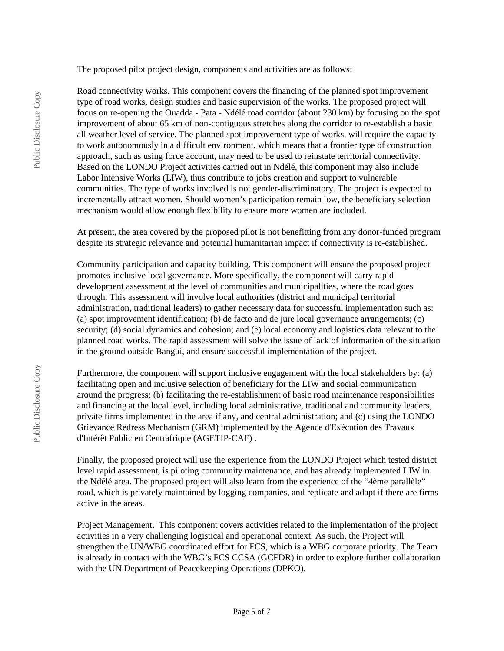The proposed pilot project design, components and activities are as follows:

Road connectivity works. This component covers the financing of the planned spot improvement type of road works, design studies and basic supervision of the works. The proposed project will focus on re-opening the Ouadda - Pata - Ndélé road corridor (about 230 km) by focusing on the spot improvement of about 65 km of non-contiguous stretches along the corridor to re-establish a basic all weather level of service. The planned spot improvement type of works, will require the capacity to work autonomously in a difficult environment, which means that a frontier type of construction approach, such as using force account, may need to be used to reinstate territorial connectivity. Based on the LONDO Project activities carried out in Ndélé, this component may also include Labor Intensive Works (LIW), thus contribute to jobs creation and support to vulnerable communities. The type of works involved is not gender-discriminatory. The project is expected to incrementally attract women. Should women's participation remain low, the beneficiary selection mechanism would allow enough flexibility to ensure more women are included.

At present, the area covered by the proposed pilot is not benefitting from any donor-funded program despite its strategic relevance and potential humanitarian impact if connectivity is re-established.

Community participation and capacity building. This component will ensure the proposed project promotes inclusive local governance. More specifically, the component will carry rapid development assessment at the level of communities and municipalities, where the road goes through. This assessment will involve local authorities (district and municipal territorial administration, traditional leaders) to gather necessary data for successful implementation such as: (a) spot improvement identification; (b) de facto and de jure local governance arrangements; (c) security; (d) social dynamics and cohesion; and (e) local economy and logistics data relevant to the planned road works. The rapid assessment will solve the issue of lack of information of the situation in the ground outside Bangui, and ensure successful implementation of the project.

Furthermore, the component will support inclusive engagement with the local stakeholders by: (a) facilitating open and inclusive selection of beneficiary for the LIW and social communication around the progress; (b) facilitating the re-establishment of basic road maintenance responsibilities and financing at the local level, including local administrative, traditional and community leaders, private firms implemented in the area if any, and central administration; and (c) using the LONDO Grievance Redress Mechanism (GRM) implemented by the Agence d'Exécution des Travaux d'Intérêt Public en Centrafrique (AGETIP-CAF) .

Finally, the proposed project will use the experience from the LONDO Project which tested district level rapid assessment, is piloting community maintenance, and has already implemented LIW in the Ndélé area. The proposed project will also learn from the experience of the "4ème parallèle" road, which is privately maintained by logging companies, and replicate and adapt if there are firms active in the areas.

Project Management. This component covers activities related to the implementation of the project activities in a very challenging logistical and operational context. As such, the Project will strengthen the UN/WBG coordinated effort for FCS, which is a WBG corporate priority. The Team is already in contact with the WBG's FCS CCSA (GCFDR) in order to explore further collaboration with the UN Department of Peacekeeping Operations (DPKO).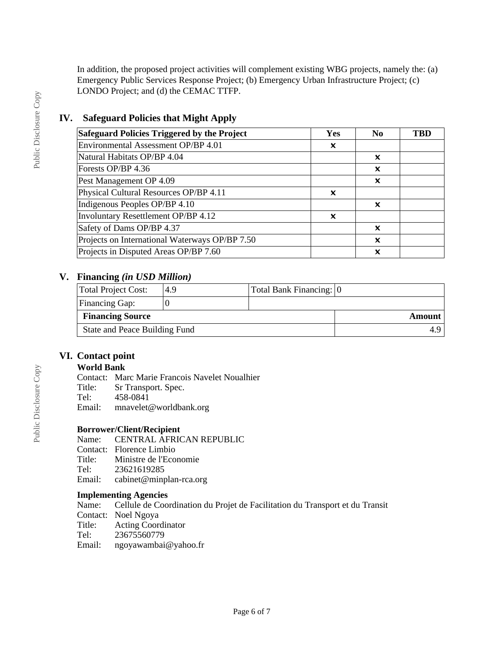In addition, the proposed project activities will complement existing WBG projects, namely the: (a) Emergency Public Services Response Project; (b) Emergency Urban Infrastructure Project; (c) LONDO Project; and (d) the CEMAC TTFP.

# **IV. Safeguard Policies that Might Apply**

| Safeguard Policies Triggered by the Project    | Yes | N <sub>0</sub> | TBD |
|------------------------------------------------|-----|----------------|-----|
| Environmental Assessment OP/BP 4.01            | x   |                |     |
| Natural Habitats OP/BP 4.04                    |     | ×              |     |
| Forests OP/BP 4.36                             |     | x              |     |
| Pest Management OP 4.09                        |     | x              |     |
| Physical Cultural Resources OP/BP 4.11         | x   |                |     |
| Indigenous Peoples OP/BP 4.10                  |     | ×              |     |
| Involuntary Resettlement OP/BP 4.12            | x   |                |     |
| Safety of Dams OP/BP 4.37                      |     | ×              |     |
| Projects on International Waterways OP/BP 7.50 |     | ×              |     |
| Projects in Disputed Areas OP/BP 7.60          |     | ×              |     |

# **V. Financing** *(in USD Million)*

| Total Project Cost:           | 4.9 | Total Bank Financing: 0 |        |
|-------------------------------|-----|-------------------------|--------|
| Financing Gap:                |     |                         |        |
| <b>Financing Source</b>       |     |                         | Amount |
| State and Peace Building Fund |     |                         |        |

# **VI. Contact point**

## **World Bank**

Contact: Marc Marie Francois Navelet Noualhier

- Title: Sr Transport. Spec.
- Tel: 458-0841
- Email: mnavelet@worldbank.org

# **Borrower/Client/Recipient**

CENTRAL AFRICAN REPUBLIC

- Contact: Florence Limbio<br>Title: Ministre de l'Eco
- Ministre de l'Economie
- Tel: 23621619285
- Email: cabinet@minplan-rca.org

## **Implementing Agencies**

Name: Cellule de Coordination du Projet de Facilitation du Transport et du Transit Contact: Noel Ngoya<br>Title: Acting Coord Acting Coordinator Tel: 23675560779 Email: ngoyawambai@yahoo.fr